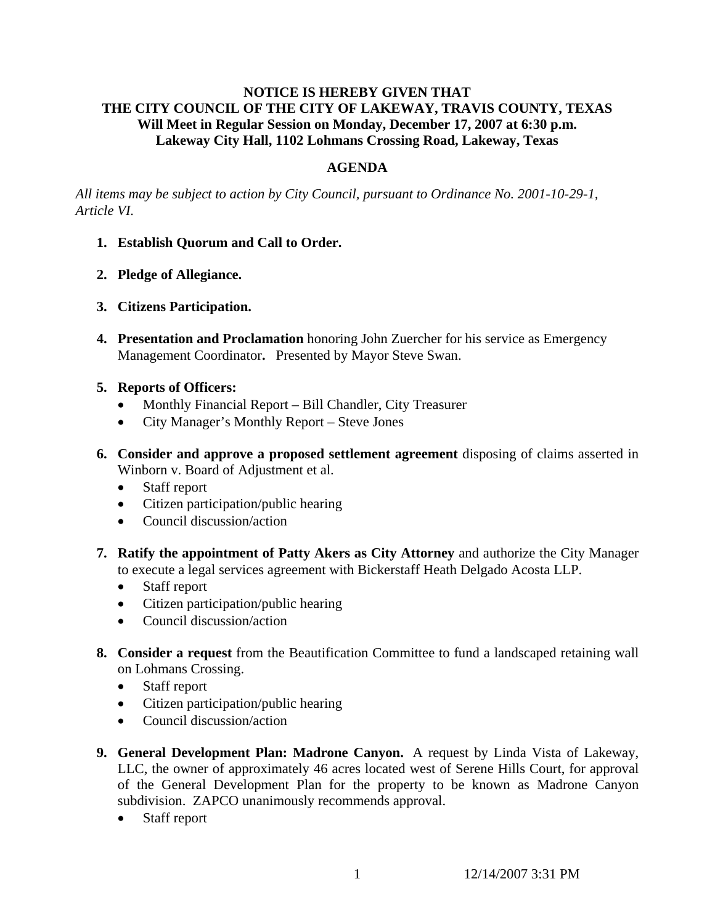# **NOTICE IS HEREBY GIVEN THAT THE CITY COUNCIL OF THE CITY OF LAKEWAY, TRAVIS COUNTY, TEXAS Will Meet in Regular Session on Monday, December 17, 2007 at 6:30 p.m. Lakeway City Hall, 1102 Lohmans Crossing Road, Lakeway, Texas**

## **AGENDA**

*All items may be subject to action by City Council, pursuant to Ordinance No. 2001-10-29-1, Article VI.* 

- **1. Establish Quorum and Call to Order.**
- **2. Pledge of Allegiance.**
- **3. Citizens Participation.**
- **4. Presentation and Proclamation** honoring John Zuercher for his service as Emergency Management Coordinator**.** Presented by Mayor Steve Swan.
- **5. Reports of Officers:**
	- Monthly Financial Report Bill Chandler, City Treasurer
	- City Manager's Monthly Report Steve Jones
- **6. Consider and approve a proposed settlement agreement** disposing of claims asserted in Winborn v. Board of Adjustment et al.
	- Staff report
	- Citizen participation/public hearing
	- Council discussion/action
- **7. Ratify the appointment of Patty Akers as City Attorney** and authorize the City Manager to execute a legal services agreement with Bickerstaff Heath Delgado Acosta LLP.
	- Staff report
	- Citizen participation/public hearing
	- Council discussion/action
- **8. Consider a request** from the Beautification Committee to fund a landscaped retaining wall on Lohmans Crossing.
	- Staff report
	- Citizen participation/public hearing
	- Council discussion/action
- **9. General Development Plan: Madrone Canyon.** A request by Linda Vista of Lakeway, LLC, the owner of approximately 46 acres located west of Serene Hills Court, for approval of the General Development Plan for the property to be known as Madrone Canyon subdivision. ZAPCO unanimously recommends approval.
	- Staff report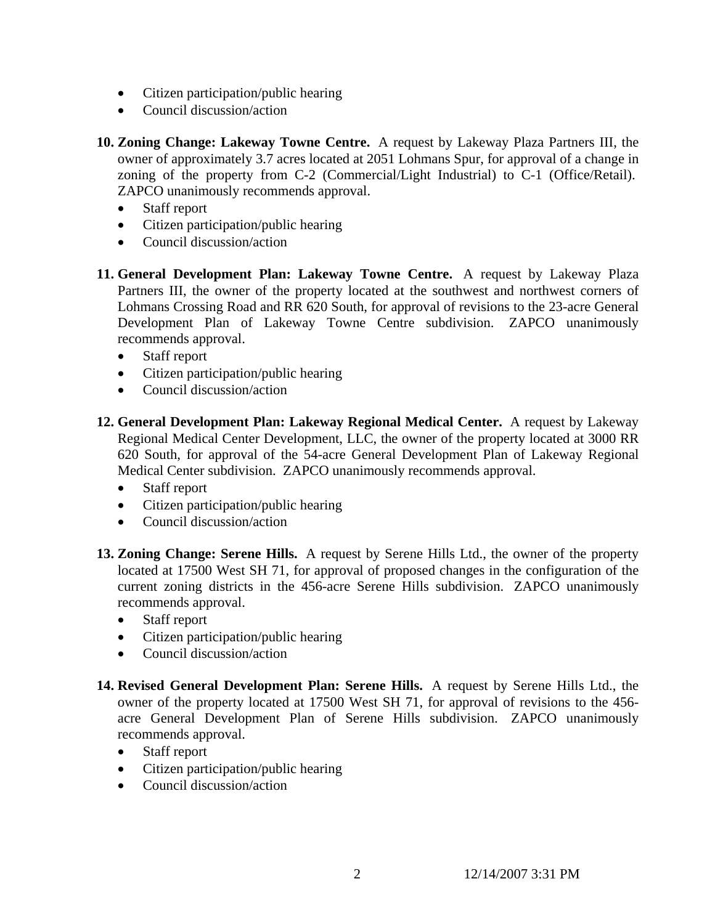- Citizen participation/public hearing
- Council discussion/action

**10. Zoning Change: Lakeway Towne Centre.** A request by Lakeway Plaza Partners III, the owner of approximately 3.7 acres located at 2051 Lohmans Spur, for approval of a change in zoning of the property from C-2 (Commercial/Light Industrial) to C-1 (Office/Retail). ZAPCO unanimously recommends approval.

- Staff report
- Citizen participation/public hearing
- Council discussion/action
- **11. General Development Plan: Lakeway Towne Centre.** A request by Lakeway Plaza Partners III, the owner of the property located at the southwest and northwest corners of Lohmans Crossing Road and RR 620 South, for approval of revisions to the 23-acre General Development Plan of Lakeway Towne Centre subdivision. ZAPCO unanimously recommends approval.
	- Staff report
	- Citizen participation/public hearing
	- Council discussion/action
- **12. General Development Plan: Lakeway Regional Medical Center.** A request by Lakeway Regional Medical Center Development, LLC, the owner of the property located at 3000 RR 620 South, for approval of the 54-acre General Development Plan of Lakeway Regional Medical Center subdivision. ZAPCO unanimously recommends approval.
	- Staff report
	- Citizen participation/public hearing
	- Council discussion/action
- **13. Zoning Change: Serene Hills.** A request by Serene Hills Ltd., the owner of the property located at 17500 West SH 71, for approval of proposed changes in the configuration of the current zoning districts in the 456-acre Serene Hills subdivision. ZAPCO unanimously recommends approval.
	- Staff report
	- Citizen participation/public hearing
	- Council discussion/action
- **14. Revised General Development Plan: Serene Hills.** A request by Serene Hills Ltd., the owner of the property located at 17500 West SH 71, for approval of revisions to the 456 acre General Development Plan of Serene Hills subdivision. ZAPCO unanimously recommends approval.
	- Staff report
	- Citizen participation/public hearing
	- Council discussion/action